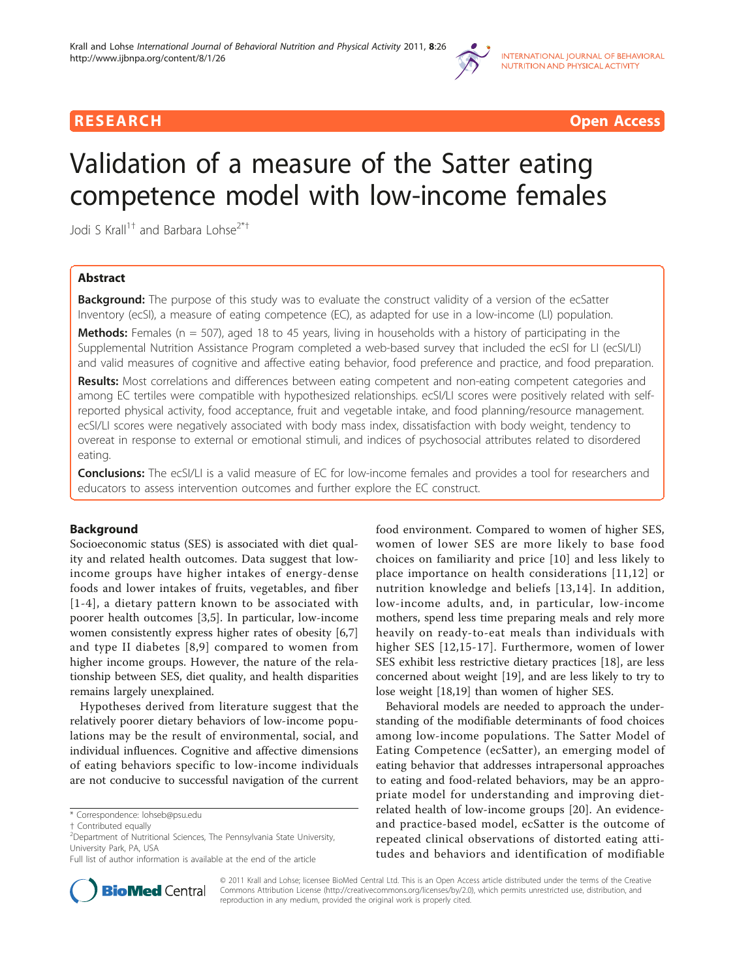

RESEARCH **CONTROLLER CONTROLLER CONTROLLER CONTROLLER CONTROLLER CONTROLLER CONTROLLER CONTROLLER CONTROLLER CONTROLLER CONTROLLER CONTROLLER CONTROLLER CONTROLLER CONTROLLER CONTROLLER CONTROLLER CONTROLLER CONTROLLER CON** 

# Validation of a measure of the Satter eating competence model with low-income females

Jodi S Krall<sup>1†</sup> and Barbara Lohse<sup>2\*†</sup>

# Abstract

**Background:** The purpose of this study was to evaluate the construct validity of a version of the ecSatter Inventory (ecSI), a measure of eating competence (EC), as adapted for use in a low-income (LI) population.

Methods: Females ( $n = 507$ ), aged 18 to 45 years, living in households with a history of participating in the Supplemental Nutrition Assistance Program completed a web-based survey that included the ecSI for LI (ecSI/LI) and valid measures of cognitive and affective eating behavior, food preference and practice, and food preparation.

Results: Most correlations and differences between eating competent and non-eating competent categories and among EC tertiles were compatible with hypothesized relationships. ecSI/LI scores were positively related with selfreported physical activity, food acceptance, fruit and vegetable intake, and food planning/resource management. ecSI/LI scores were negatively associated with body mass index, dissatisfaction with body weight, tendency to overeat in response to external or emotional stimuli, and indices of psychosocial attributes related to disordered eating.

**Conclusions:** The ecSI/LI is a valid measure of EC for low-income females and provides a tool for researchers and educators to assess intervention outcomes and further explore the EC construct.

# Background

Socioeconomic status (SES) is associated with diet quality and related health outcomes. Data suggest that lowincome groups have higher intakes of energy-dense foods and lower intakes of fruits, vegetables, and fiber [[1-4\]](#page-8-0), a dietary pattern known to be associated with poorer health outcomes [[3,5](#page-8-0)]. In particular, low-income women consistently express higher rates of obesity [\[6,7](#page-8-0)] and type II diabetes [\[8,9\]](#page-8-0) compared to women from higher income groups. However, the nature of the relationship between SES, diet quality, and health disparities remains largely unexplained.

Hypotheses derived from literature suggest that the relatively poorer dietary behaviors of low-income populations may be the result of environmental, social, and individual influences. Cognitive and affective dimensions of eating behaviors specific to low-income individuals are not conducive to successful navigation of the current

food environment. Compared to women of higher SES, women of lower SES are more likely to base food choices on familiarity and price [[10\]](#page-8-0) and less likely to place importance on health considerations [[11,12](#page-8-0)] or nutrition knowledge and beliefs [[13](#page-8-0),[14](#page-8-0)]. In addition, low-income adults, and, in particular, low-income mothers, spend less time preparing meals and rely more heavily on ready-to-eat meals than individuals with higher SES [\[12,](#page-8-0)[15-17\]](#page-9-0). Furthermore, women of lower SES exhibit less restrictive dietary practices [[18\]](#page-9-0), are less concerned about weight [[19\]](#page-9-0), and are less likely to try to lose weight [[18,19\]](#page-9-0) than women of higher SES.

Behavioral models are needed to approach the understanding of the modifiable determinants of food choices among low-income populations. The Satter Model of Eating Competence (ecSatter), an emerging model of eating behavior that addresses intrapersonal approaches to eating and food-related behaviors, may be an appropriate model for understanding and improving dietrelated health of low-income groups [\[20](#page-9-0)]. An evidenceand practice-based model, ecSatter is the outcome of repeated clinical observations of distorted eating attitudes and behaviors and identification of modifiable



© 2011 Krall and Lohse; licensee BioMed Central Ltd. This is an Open Access article distributed under the terms of the Creative Commons Attribution License [\(http://creativecommons.org/licenses/by/2.0](http://creativecommons.org/licenses/by/2.0)), which permits unrestricted use, distribution, and reproduction in any medium, provided the original work is properly cited.

<sup>\*</sup> Correspondence: [lohseb@psu.edu](mailto:lohseb@psu.edu)

<sup>†</sup> Contributed equally <sup>2</sup>

<sup>&</sup>lt;sup>2</sup>Department of Nutritional Sciences, The Pennsylvania State University, University Park, PA, USA

Full list of author information is available at the end of the article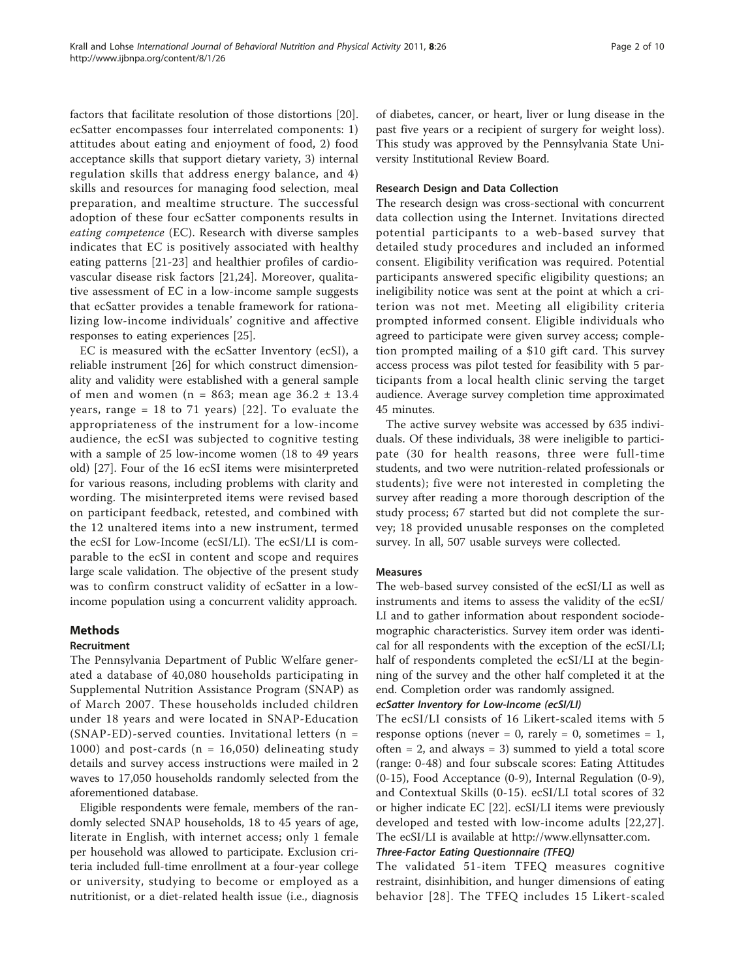factors that facilitate resolution of those distortions [\[20](#page-9-0)]. ecSatter encompasses four interrelated components: 1) attitudes about eating and enjoyment of food, 2) food acceptance skills that support dietary variety, 3) internal regulation skills that address energy balance, and 4) skills and resources for managing food selection, meal preparation, and mealtime structure. The successful adoption of these four ecSatter components results in eating competence (EC). Research with diverse samples indicates that EC is positively associated with healthy eating patterns [[21-23\]](#page-9-0) and healthier profiles of cardiovascular disease risk factors [[21,24\]](#page-9-0). Moreover, qualitative assessment of EC in a low-income sample suggests that ecSatter provides a tenable framework for rationalizing low-income individuals' cognitive and affective responses to eating experiences [\[25\]](#page-9-0).

EC is measured with the ecSatter Inventory (ecSI), a reliable instrument [\[26](#page-9-0)] for which construct dimensionality and validity were established with a general sample of men and women (n = 863; mean age  $36.2 \pm 13.4$ years, range = 18 to 71 years) [[22](#page-9-0)]. To evaluate the appropriateness of the instrument for a low-income audience, the ecSI was subjected to cognitive testing with a sample of 25 low-income women (18 to 49 years old) [\[27](#page-9-0)]. Four of the 16 ecSI items were misinterpreted for various reasons, including problems with clarity and wording. The misinterpreted items were revised based on participant feedback, retested, and combined with the 12 unaltered items into a new instrument, termed the ecSI for Low-Income (ecSI/LI). The ecSI/LI is comparable to the ecSI in content and scope and requires large scale validation. The objective of the present study was to confirm construct validity of ecSatter in a lowincome population using a concurrent validity approach.

# Methods

#### Recruitment

The Pennsylvania Department of Public Welfare generated a database of 40,080 households participating in Supplemental Nutrition Assistance Program (SNAP) as of March 2007. These households included children under 18 years and were located in SNAP-Education (SNAP-ED)-served counties. Invitational letters (n = 1000) and post-cards ( $n = 16,050$ ) delineating study details and survey access instructions were mailed in 2 waves to 17,050 households randomly selected from the aforementioned database.

Eligible respondents were female, members of the randomly selected SNAP households, 18 to 45 years of age, literate in English, with internet access; only 1 female per household was allowed to participate. Exclusion criteria included full-time enrollment at a four-year college or university, studying to become or employed as a nutritionist, or a diet-related health issue (i.e., diagnosis of diabetes, cancer, or heart, liver or lung disease in the past five years or a recipient of surgery for weight loss). This study was approved by the Pennsylvania State University Institutional Review Board.

#### Research Design and Data Collection

The research design was cross-sectional with concurrent data collection using the Internet. Invitations directed potential participants to a web-based survey that detailed study procedures and included an informed consent. Eligibility verification was required. Potential participants answered specific eligibility questions; an ineligibility notice was sent at the point at which a criterion was not met. Meeting all eligibility criteria prompted informed consent. Eligible individuals who agreed to participate were given survey access; completion prompted mailing of a \$10 gift card. This survey access process was pilot tested for feasibility with 5 participants from a local health clinic serving the target audience. Average survey completion time approximated 45 minutes.

The active survey website was accessed by 635 individuals. Of these individuals, 38 were ineligible to participate (30 for health reasons, three were full-time students, and two were nutrition-related professionals or students); five were not interested in completing the survey after reading a more thorough description of the study process; 67 started but did not complete the survey; 18 provided unusable responses on the completed survey. In all, 507 usable surveys were collected.

# Measures

The web-based survey consisted of the ecSI/LI as well as instruments and items to assess the validity of the ecSI/ LI and to gather information about respondent sociodemographic characteristics. Survey item order was identical for all respondents with the exception of the ecSI/LI; half of respondents completed the ecSI/LI at the beginning of the survey and the other half completed it at the end. Completion order was randomly assigned.

# ecSatter Inventory for Low-Income (ecSI/LI)

The ecSI/LI consists of 16 Likert-scaled items with 5 response options (never = 0, rarely = 0, sometimes = 1, often  $= 2$ , and always  $= 3$ ) summed to yield a total score (range: 0-48) and four subscale scores: Eating Attitudes (0-15), Food Acceptance (0-9), Internal Regulation (0-9), and Contextual Skills (0-15). ecSI/LI total scores of 32 or higher indicate EC [\[22\]](#page-9-0). ecSI/LI items were previously developed and tested with low-income adults [[22](#page-9-0),[27\]](#page-9-0). The ecSI/LI is available at [http://www.ellynsatter.com.](http://www.ellynsatter.com)

# Three-Factor Eating Questionnaire (TFEQ)

The validated 51-item TFEQ measures cognitive restraint, disinhibition, and hunger dimensions of eating behavior [[28\]](#page-9-0). The TFEQ includes 15 Likert-scaled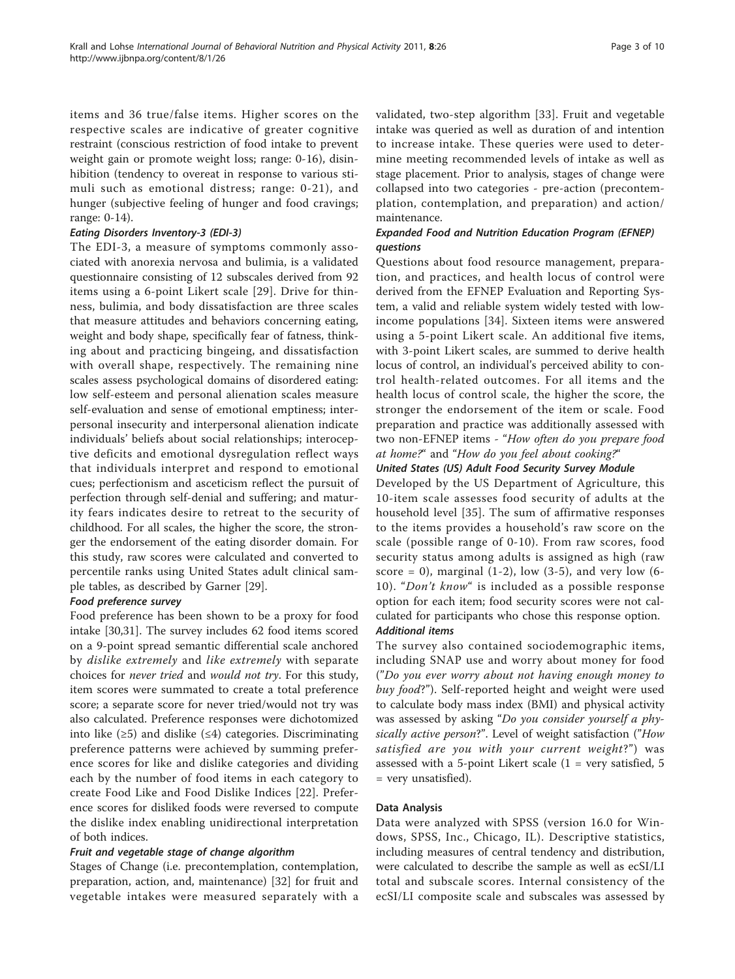items and 36 true/false items. Higher scores on the respective scales are indicative of greater cognitive restraint (conscious restriction of food intake to prevent weight gain or promote weight loss; range: 0-16), disinhibition (tendency to overeat in response to various stimuli such as emotional distress; range: 0-21), and hunger (subjective feeling of hunger and food cravings; range: 0-14).

### Eating Disorders Inventory-3 (EDI-3)

The EDI-3, a measure of symptoms commonly associated with anorexia nervosa and bulimia, is a validated questionnaire consisting of 12 subscales derived from 92 items using a 6-point Likert scale [[29](#page-9-0)]. Drive for thinness, bulimia, and body dissatisfaction are three scales that measure attitudes and behaviors concerning eating, weight and body shape, specifically fear of fatness, thinking about and practicing bingeing, and dissatisfaction with overall shape, respectively. The remaining nine scales assess psychological domains of disordered eating: low self-esteem and personal alienation scales measure self-evaluation and sense of emotional emptiness; interpersonal insecurity and interpersonal alienation indicate individuals' beliefs about social relationships; interoceptive deficits and emotional dysregulation reflect ways that individuals interpret and respond to emotional cues; perfectionism and asceticism reflect the pursuit of perfection through self-denial and suffering; and maturity fears indicates desire to retreat to the security of childhood. For all scales, the higher the score, the stronger the endorsement of the eating disorder domain. For this study, raw scores were calculated and converted to percentile ranks using United States adult clinical sample tables, as described by Garner [[29](#page-9-0)].

#### Food preference survey

Food preference has been shown to be a proxy for food intake [[30,31\]](#page-9-0). The survey includes 62 food items scored on a 9-point spread semantic differential scale anchored by dislike extremely and like extremely with separate choices for never tried and would not try. For this study, item scores were summated to create a total preference score; a separate score for never tried/would not try was also calculated. Preference responses were dichotomized into like  $(\geq 5)$  and dislike  $(\leq 4)$  categories. Discriminating preference patterns were achieved by summing preference scores for like and dislike categories and dividing each by the number of food items in each category to create Food Like and Food Dislike Indices [[22\]](#page-9-0). Preference scores for disliked foods were reversed to compute the dislike index enabling unidirectional interpretation of both indices.

#### Fruit and vegetable stage of change algorithm

Stages of Change (i.e. precontemplation, contemplation, preparation, action, and, maintenance) [[32\]](#page-9-0) for fruit and vegetable intakes were measured separately with a validated, two-step algorithm [[33](#page-9-0)]. Fruit and vegetable intake was queried as well as duration of and intention to increase intake. These queries were used to determine meeting recommended levels of intake as well as stage placement. Prior to analysis, stages of change were collapsed into two categories - pre-action (precontemplation, contemplation, and preparation) and action/ maintenance.

# Expanded Food and Nutrition Education Program (EFNEP) questions

Questions about food resource management, preparation, and practices, and health locus of control were derived from the EFNEP Evaluation and Reporting System, a valid and reliable system widely tested with lowincome populations [[34\]](#page-9-0). Sixteen items were answered using a 5-point Likert scale. An additional five items, with 3-point Likert scales, are summed to derive health locus of control, an individual's perceived ability to control health-related outcomes. For all items and the health locus of control scale, the higher the score, the stronger the endorsement of the item or scale. Food preparation and practice was additionally assessed with two non-EFNEP items - "How often do you prepare food at home?" and "How do you feel about cooking?"

# United States (US) Adult Food Security Survey Module

Developed by the US Department of Agriculture, this 10-item scale assesses food security of adults at the household level [\[35](#page-9-0)]. The sum of affirmative responses to the items provides a household's raw score on the scale (possible range of 0-10). From raw scores, food security status among adults is assigned as high (raw score = 0), marginal (1-2), low (3-5), and very low (6-10). "Don't know" is included as a possible response option for each item; food security scores were not calculated for participants who chose this response option. Additional items

The survey also contained sociodemographic items, including SNAP use and worry about money for food ("Do you ever worry about not having enough money to buy food?"). Self-reported height and weight were used to calculate body mass index (BMI) and physical activity was assessed by asking "Do you consider yourself a physically active person?". Level of weight satisfaction ("How satisfied are you with your current weight?") was assessed with a 5-point Likert scale  $(1 = \text{very satisfied}, 5)$ = very unsatisfied).

#### Data Analysis

Data were analyzed with SPSS (version 16.0 for Windows, SPSS, Inc., Chicago, IL). Descriptive statistics, including measures of central tendency and distribution, were calculated to describe the sample as well as ecSI/LI total and subscale scores. Internal consistency of the ecSI/LI composite scale and subscales was assessed by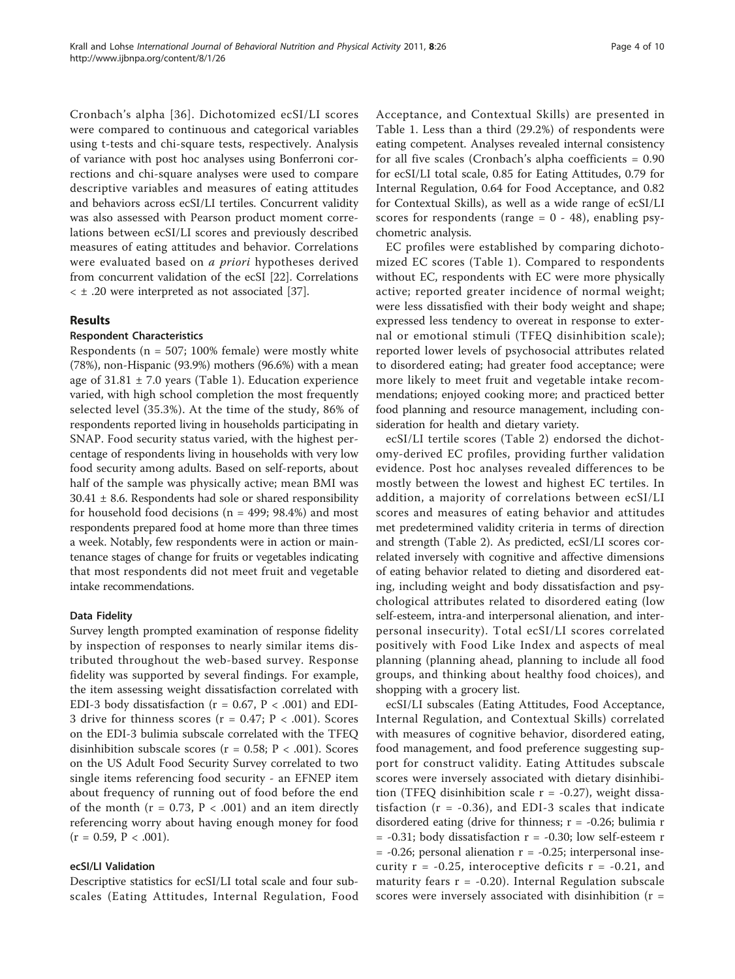Cronbach's alpha [[36\]](#page-9-0). Dichotomized ecSI/LI scores were compared to continuous and categorical variables using t-tests and chi-square tests, respectively. Analysis of variance with post hoc analyses using Bonferroni corrections and chi-square analyses were used to compare descriptive variables and measures of eating attitudes and behaviors across ecSI/LI tertiles. Concurrent validity was also assessed with Pearson product moment correlations between ecSI/LI scores and previously described measures of eating attitudes and behavior. Correlations were evaluated based on *a priori* hypotheses derived from concurrent validation of the ecSI [[22\]](#page-9-0). Correlations < ± .20 were interpreted as not associated [[37\]](#page-9-0).

#### Results

#### Respondent Characteristics

Respondents ( $n = 507$ ; 100% female) were mostly white (78%), non-Hispanic (93.9%) mothers (96.6%) with a mean age of  $31.81 \pm 7.0$  years (Table [1\)](#page-4-0). Education experience varied, with high school completion the most frequently selected level (35.3%). At the time of the study, 86% of respondents reported living in households participating in SNAP. Food security status varied, with the highest percentage of respondents living in households with very low food security among adults. Based on self-reports, about half of the sample was physically active; mean BMI was  $30.41 \pm 8.6$ . Respondents had sole or shared responsibility for household food decisions (n = 499; 98.4%) and most respondents prepared food at home more than three times a week. Notably, few respondents were in action or maintenance stages of change for fruits or vegetables indicating that most respondents did not meet fruit and vegetable intake recommendations.

#### Data Fidelity

Survey length prompted examination of response fidelity by inspection of responses to nearly similar items distributed throughout the web-based survey. Response fidelity was supported by several findings. For example, the item assessing weight dissatisfaction correlated with EDI-3 body dissatisfaction ( $r = 0.67$ ,  $P < .001$ ) and EDI-3 drive for thinness scores ( $r = 0.47$ ;  $P < .001$ ). Scores on the EDI-3 bulimia subscale correlated with the TFEQ disinhibition subscale scores ( $r = 0.58$ ;  $P < .001$ ). Scores on the US Adult Food Security Survey correlated to two single items referencing food security - an EFNEP item about frequency of running out of food before the end of the month  $(r = 0.73, P < .001)$  and an item directly referencing worry about having enough money for food  $(r = 0.59, P < .001).$ 

#### ecSI/LI Validation

Descriptive statistics for ecSI/LI total scale and four subscales (Eating Attitudes, Internal Regulation, Food Acceptance, and Contextual Skills) are presented in Table [1.](#page-4-0) Less than a third (29.2%) of respondents were eating competent. Analyses revealed internal consistency for all five scales (Cronbach's alpha coefficients = 0.90 for ecSI/LI total scale, 0.85 for Eating Attitudes, 0.79 for Internal Regulation, 0.64 for Food Acceptance, and 0.82 for Contextual Skills), as well as a wide range of ecSI/LI scores for respondents (range  $= 0 - 48$ ), enabling psychometric analysis.

EC profiles were established by comparing dichotomized EC scores (Table [1\)](#page-4-0). Compared to respondents without EC, respondents with EC were more physically active; reported greater incidence of normal weight; were less dissatisfied with their body weight and shape; expressed less tendency to overeat in response to external or emotional stimuli (TFEQ disinhibition scale); reported lower levels of psychosocial attributes related to disordered eating; had greater food acceptance; were more likely to meet fruit and vegetable intake recommendations; enjoyed cooking more; and practiced better food planning and resource management, including consideration for health and dietary variety.

ecSI/LI tertile scores (Table [2\)](#page-6-0) endorsed the dichotomy-derived EC profiles, providing further validation evidence. Post hoc analyses revealed differences to be mostly between the lowest and highest EC tertiles. In addition, a majority of correlations between ecSI/LI scores and measures of eating behavior and attitudes met predetermined validity criteria in terms of direction and strength (Table [2](#page-6-0)). As predicted, ecSI/LI scores correlated inversely with cognitive and affective dimensions of eating behavior related to dieting and disordered eating, including weight and body dissatisfaction and psychological attributes related to disordered eating (low self-esteem, intra-and interpersonal alienation, and interpersonal insecurity). Total ecSI/LI scores correlated positively with Food Like Index and aspects of meal planning (planning ahead, planning to include all food groups, and thinking about healthy food choices), and shopping with a grocery list.

ecSI/LI subscales (Eating Attitudes, Food Acceptance, Internal Regulation, and Contextual Skills) correlated with measures of cognitive behavior, disordered eating, food management, and food preference suggesting support for construct validity. Eating Attitudes subscale scores were inversely associated with dietary disinhibition (TFEQ disinhibition scale  $r = -0.27$ ), weight dissatisfaction  $(r = -0.36)$ , and EDI-3 scales that indicate disordered eating (drive for thinness;  $r = -0.26$ ; bulimia r  $= -0.31$ ; body dissatisfaction  $r = -0.30$ ; low self-esteem r  $= -0.26$ ; personal alienation  $r = -0.25$ ; interpersonal insecurity  $r = -0.25$ , interoceptive deficits  $r = -0.21$ , and maturity fears  $r = -0.20$ ). Internal Regulation subscale scores were inversely associated with disinhibition  $(r =$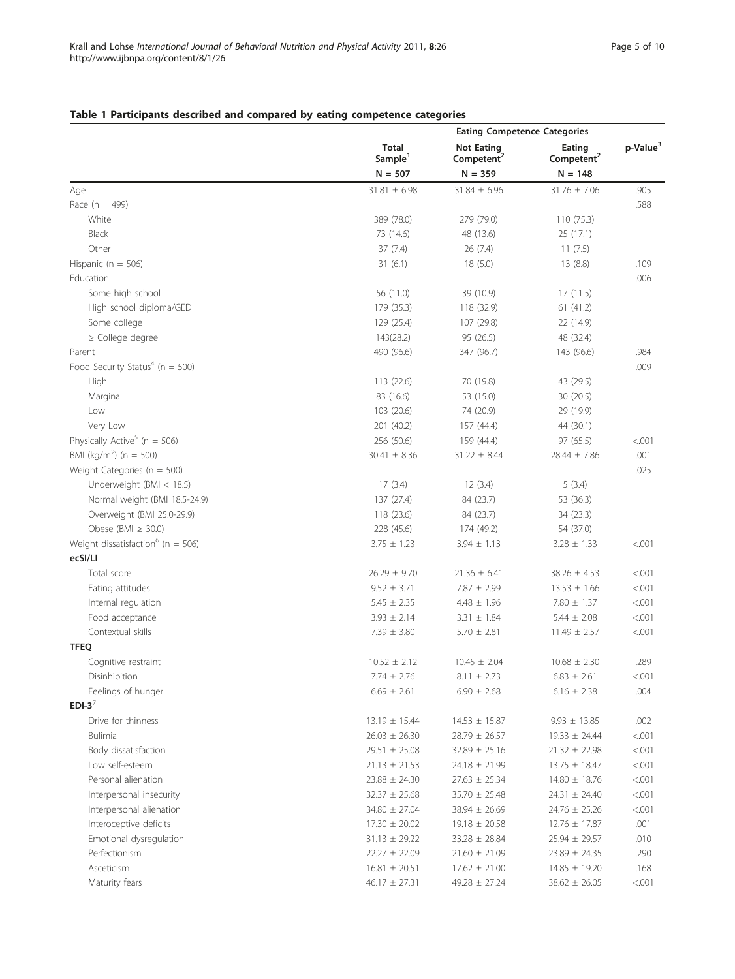# <span id="page-4-0"></span>Table 1 Participants described and compared by eating competence categories

|                                                   |                                     | <b>Eating Competence Categories</b>         |                                  |                      |  |
|---------------------------------------------------|-------------------------------------|---------------------------------------------|----------------------------------|----------------------|--|
|                                                   | <b>Total</b><br>Sample <sup>1</sup> | <b>Not Eating</b><br>Competent <sup>2</sup> | Eating<br>Competent <sup>2</sup> | p-Value <sup>3</sup> |  |
|                                                   | $N = 507$                           | $N = 359$                                   | $N = 148$                        |                      |  |
| Age                                               | $31.81 \pm 6.98$                    | $31.84 \pm 6.96$                            | $31.76 \pm 7.06$                 | .905                 |  |
| Race ( $n = 499$ )                                |                                     |                                             |                                  | .588                 |  |
| White                                             | 389 (78.0)                          | 279 (79.0)                                  | 110 (75.3)                       |                      |  |
| Black                                             | 73 (14.6)                           | 48 (13.6)                                   | 25 (17.1)                        |                      |  |
| Other                                             | 37(7.4)                             | 26(7.4)                                     | 11(7.5)                          |                      |  |
| Hispanic ( $n = 506$ )                            | 31(6.1)                             | 18(5.0)                                     | 13(8.8)                          | .109                 |  |
| Education                                         |                                     |                                             |                                  | .006                 |  |
| Some high school                                  | 56 (11.0)                           | 39 (10.9)                                   | 17(11.5)                         |                      |  |
| High school diploma/GED                           | 179 (35.3)                          | 118 (32.9)                                  | 61(41.2)                         |                      |  |
| Some college                                      | 129 (25.4)                          | 107 (29.8)                                  | 22 (14.9)                        |                      |  |
| $\ge$ College degree                              | 143(28.2)                           | 95 (26.5)                                   | 48 (32.4)                        |                      |  |
| Parent                                            | 490 (96.6)                          | 347 (96.7)                                  | 143 (96.6)                       | .984                 |  |
| Food Security Status <sup>4</sup> ( $n = 500$ )   |                                     |                                             |                                  | .009                 |  |
| High                                              | 113 (22.6)                          | 70 (19.8)                                   | 43 (29.5)                        |                      |  |
| Marginal                                          | 83 (16.6)                           | 53 (15.0)                                   | 30 (20.5)                        |                      |  |
| Low                                               | 103 (20.6)                          | 74 (20.9)                                   | 29 (19.9)                        |                      |  |
| Very Low                                          | 201 (40.2)                          | 157 (44.4)                                  | 44 (30.1)                        |                      |  |
| Physically Active <sup>5</sup> (n = 506)          | 256 (50.6)                          | 159 (44.4)                                  | 97 (65.5)                        | < .001               |  |
| BMI (kg/m <sup>2</sup> ) (n = 500)                | $30.41 \pm 8.36$                    | $31.22 \pm 8.44$                            | $28.44 \pm 7.86$                 | .001                 |  |
| Weight Categories ( $n = 500$ )                   |                                     |                                             |                                  | .025                 |  |
| Underweight (BMI < 18.5)                          | 17(3.4)                             | 12(3.4)                                     | 5(3.4)                           |                      |  |
| Normal weight (BMI 18.5-24.9)                     | 137 (27.4)                          | 84 (23.7)                                   | 53 (36.3)                        |                      |  |
| Overweight (BMI 25.0-29.9)                        | 118 (23.6)                          | 84 (23.7)                                   | 34 (23.3)                        |                      |  |
| Obese (BMI $\geq$ 30.0)                           | 228 (45.6)                          | 174 (49.2)                                  | 54 (37.0)                        |                      |  |
| Weight dissatisfaction <sup>6</sup> ( $n = 506$ ) | $3.75 \pm 1.23$                     | $3.94 \pm 1.13$                             | $3.28 \pm 1.33$                  | < .001               |  |
| ecSI/LI                                           |                                     |                                             |                                  |                      |  |
| Total score                                       | $26.29 \pm 9.70$                    | $21.36 \pm 6.41$                            | $38.26 \pm 4.53$                 | < .001               |  |
| Eating attitudes                                  | $9.52 \pm 3.71$                     | $7.87 \pm 2.99$                             | $13.53 \pm 1.66$                 | < .001               |  |
| Internal regulation                               | $5.45 \pm 2.35$                     | $4.48 \pm 1.96$                             | $7.80 \pm 1.37$                  | < .001               |  |
| Food acceptance                                   | $3.93 \pm 2.14$                     | $3.31 \pm 1.84$                             | $5.44 \pm 2.08$                  | < 0.001              |  |
| Contextual skills                                 | $7.39 \pm 3.80$                     | $5.70 \pm 2.81$                             | $11.49 \pm 2.57$                 | < .001               |  |
| <b>TFEQ</b>                                       |                                     |                                             |                                  |                      |  |
| Cognitive restraint                               | $10.52 \pm 2.12$                    | $10.45 \pm 2.04$                            | $10.68 \pm 2.30$                 | .289                 |  |
| Disinhibition                                     | $7.74 \pm 2.76$                     | $8.11 \pm 2.73$                             | $6.83 \pm 2.61$                  | < 0.001              |  |
| Feelings of hunger                                | $6.69 \pm 2.61$                     | $6.90 \pm 2.68$                             | $6.16 \pm 2.38$                  | .004                 |  |
| EDI-3 $^7$                                        |                                     |                                             |                                  |                      |  |
| Drive for thinness                                | $13.19 \pm 15.44$                   | $14.53 \pm 15.87$                           | $9.93 \pm 13.85$                 | .002                 |  |
| Bulimia                                           | $26.03 \pm 26.30$                   | $28.79 \pm 26.57$                           | $19.33 \pm 24.44$                | < 0.001              |  |
| Body dissatisfaction                              | $29.51 \pm 25.08$                   | $32.89 \pm 25.16$                           | $21.32 \pm 22.98$                | < 0.001              |  |
| Low self-esteem                                   | $21.13 \pm 21.53$                   | $24.18 \pm 21.99$                           | $13.75 \pm 18.47$                | < 0.001              |  |
| Personal alienation                               | $23.88 \pm 24.30$                   | $27.63 \pm 25.34$                           | $14.80 \pm 18.76$                | < 0.001              |  |
| Interpersonal insecurity                          | $32.37 \pm 25.68$                   | $35.70 \pm 25.48$                           | $24.31 \pm 24.40$                | < 0.001              |  |
| Interpersonal alienation                          | 34.80 ± 27.04                       | $38.94 \pm 26.69$                           | $24.76 \pm 25.26$                | < 0.001              |  |
| Interoceptive deficits                            | $17.30 \pm 20.02$                   | $19.18 \pm 20.58$                           | $12.76 \pm 17.87$                | .001                 |  |
| Emotional dysregulation                           | $31.13 \pm 29.22$                   | $33.28 \pm 28.84$                           | $25.94 \pm 29.57$                | .010                 |  |
| Perfectionism                                     | $22.27 \pm 22.09$                   | $21.60 \pm 21.09$                           | $23.89 \pm 24.35$                | .290                 |  |
| Asceticism                                        | $16.81 \pm 20.51$                   | $17.62 \pm 21.00$                           | $14.85 \pm 19.20$                | .168                 |  |
| Maturity fears                                    | $46.17 \pm 27.31$                   | $49.28 \pm 27.24$                           | $38.62 \pm 26.05$                | < .001               |  |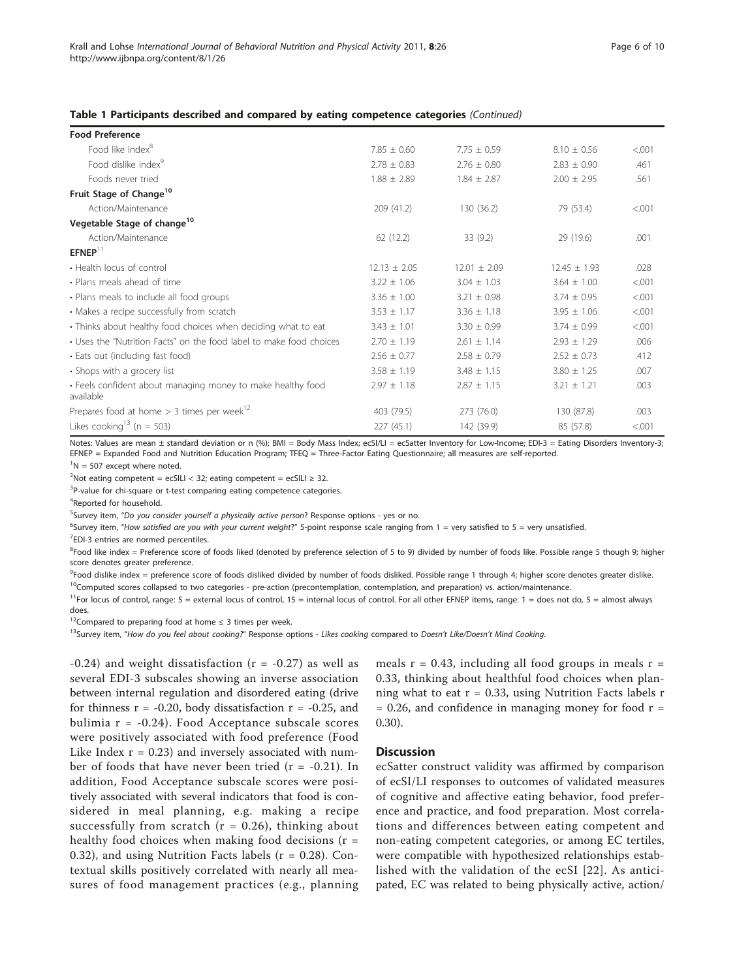#### Table 1 Participants described and compared by eating competence categories (Continued)

| <b>Food Preference</b>                                                   |                  |                  |                  |         |
|--------------------------------------------------------------------------|------------------|------------------|------------------|---------|
| Food like index <sup>8</sup>                                             | $7.85 \pm 0.60$  | $7.75 \pm 0.59$  | $8.10 \pm 0.56$  | < 0.001 |
| Food dislike index <sup>9</sup>                                          | $2.78 \pm 0.83$  | $2.76 \pm 0.80$  | $2.83 \pm 0.90$  | .461    |
| Foods never tried                                                        | $1.88 \pm 2.89$  | $1.84 \pm 2.87$  | $2.00 \pm 2.95$  | .561    |
| Fruit Stage of Change <sup>10</sup>                                      |                  |                  |                  |         |
| Action/Maintenance                                                       | 209(41.2)        | 130 (36.2)       | 79 (53.4)        | < .001  |
| Vegetable Stage of change <sup>10</sup>                                  |                  |                  |                  |         |
| Action/Maintenance                                                       | 62(12.2)         | 33(9.2)          | 29 (19.6)        | .001    |
| $E F N E P$ <sup>11</sup>                                                |                  |                  |                  |         |
| • Health locus of control                                                | $12.13 \pm 2.05$ | $12.01 \pm 2.09$ | $12.45 \pm 1.93$ | .028    |
| • Plans meals ahead of time                                              | $3.22 \pm 1.06$  | $3.04 \pm 1.03$  | $3.64 \pm 1.00$  | < 0.001 |
| • Plans meals to include all food groups                                 | $3.36 \pm 1.00$  | $3.21 \pm 0.98$  | $3.74 \pm 0.95$  | < 0.001 |
| • Makes a recipe successfully from scratch                               | $3.53 \pm 1.17$  | $3.36 \pm 1.18$  | $3.95 \pm 1.06$  | < 0.001 |
| • Thinks about healthy food choices when deciding what to eat            | $3.43 \pm 1.01$  | $3.30 \pm 0.99$  | $3.74 \pm 0.99$  | < .001  |
| • Uses the "Nutrition Facts" on the food label to make food choices      | $2.70 \pm 1.19$  | $2.61 \pm 1.14$  | $2.93 \pm 1.29$  | .006    |
| • Eats out (including fast food)                                         | $2.56 \pm 0.77$  | $2.58 \pm 0.79$  | $2.52 \pm 0.73$  | .412    |
| • Shops with a grocery list                                              | $3.58 \pm 1.19$  | $3.48 \pm 1.15$  | $3.80 \pm 1.25$  | .007    |
| • Feels confident about managing money to make healthy food<br>available | $2.97 \pm 1.18$  | $2.87 \pm 1.15$  | $3.21 \pm 1.21$  | .003    |
| Prepares food at home $>$ 3 times per week <sup>12</sup>                 | 403 (79.5)       | 273 (76.0)       | 130 (87.8)       | .003    |
| Likes cooking <sup>13</sup> (n = 503)                                    | 227(45.1)        | 142 (39.9)       | 85 (57.8)        | < .001  |

Notes: Values are mean ± standard deviation or n (%); BMI = Body Mass Index; ecSI/LI = ecSatter Inventory for Low-Income; EDI-3 = Eating Disorders Inventory-3; EFNEP = Expanded Food and Nutrition Education Program; TFEQ = Three-Factor Eating Questionnaire; all measures are self-reported.

 ${}^{1}N = 507$  except where noted.

 $2^2$ Not eating competent = ecSILI < 32; eating competent = ecSILI  $\geq$  32.

<sup>3</sup>P-value for chi-square or t-test comparing eating competence categories.

<sup>4</sup>Reported for household.

<sup>5</sup>Survey item, "*Do you consider yourself a physically active person*? Response options - yes or no.

<sup>6</sup>Survey item, "How satisfied are you with your current weight?" 5-point response scale ranging from 1 = very satisfied to 5 = very unsatisfied. <sup>7</sup>EDI-3 entries are normed percentiles.

<sup>8</sup>Food like index = Preference score of foods liked (denoted by preference selection of 5 to 9) divided by number of foods like. Possible range 5 though 9; higher score denotes greater preference.

<sup>9</sup>Food dislike index = preference score of foods disliked divided by number of foods disliked. Possible range 1 through 4; higher score denotes greater dislike  $10$ Computed scores collapsed to two categories - pre-action (precontemplation, contemplation, and preparation) vs. action/maintenance.

<sup>11</sup>For locus of control, range: 5 = external locus of control, 15 = internal locus of control. For all other EFNEP items, range: 1 = does not do, 5 = almost always does.

<sup>12</sup>Compared to preparing food at home  $\leq$  3 times per week.

<sup>13</sup>Survey item, "How do you feel about cooking?" Response options - Likes cooking compared to Doesn't Like/Doesn't Mind Cooking.

 $-0.24$ ) and weight dissatisfaction ( $r = -0.27$ ) as well as several EDI-3 subscales showing an inverse association between internal regulation and disordered eating (drive for thinness  $r = -0.20$ , body dissatisfaction  $r = -0.25$ , and bulimia  $r = -0.24$ ). Food Acceptance subscale scores were positively associated with food preference (Food Like Index  $r = 0.23$ ) and inversely associated with number of foods that have never been tried  $(r = -0.21)$ . In addition, Food Acceptance subscale scores were positively associated with several indicators that food is considered in meal planning, e.g. making a recipe successfully from scratch ( $r = 0.26$ ), thinking about healthy food choices when making food decisions  $(r =$ 0.32), and using Nutrition Facts labels ( $r = 0.28$ ). Contextual skills positively correlated with nearly all measures of food management practices (e.g., planning

meals  $r = 0.43$ , including all food groups in meals  $r =$ 0.33, thinking about healthful food choices when planning what to eat  $r = 0.33$ , using Nutrition Facts labels r  $= 0.26$ , and confidence in managing money for food  $r =$ 0.30).

#### **Discussion**

ecSatter construct validity was affirmed by comparison of ecSI/LI responses to outcomes of validated measures of cognitive and affective eating behavior, food preference and practice, and food preparation. Most correlations and differences between eating competent and non-eating competent categories, or among EC tertiles, were compatible with hypothesized relationships established with the validation of the ecSI [[22](#page-9-0)]. As anticipated, EC was related to being physically active, action/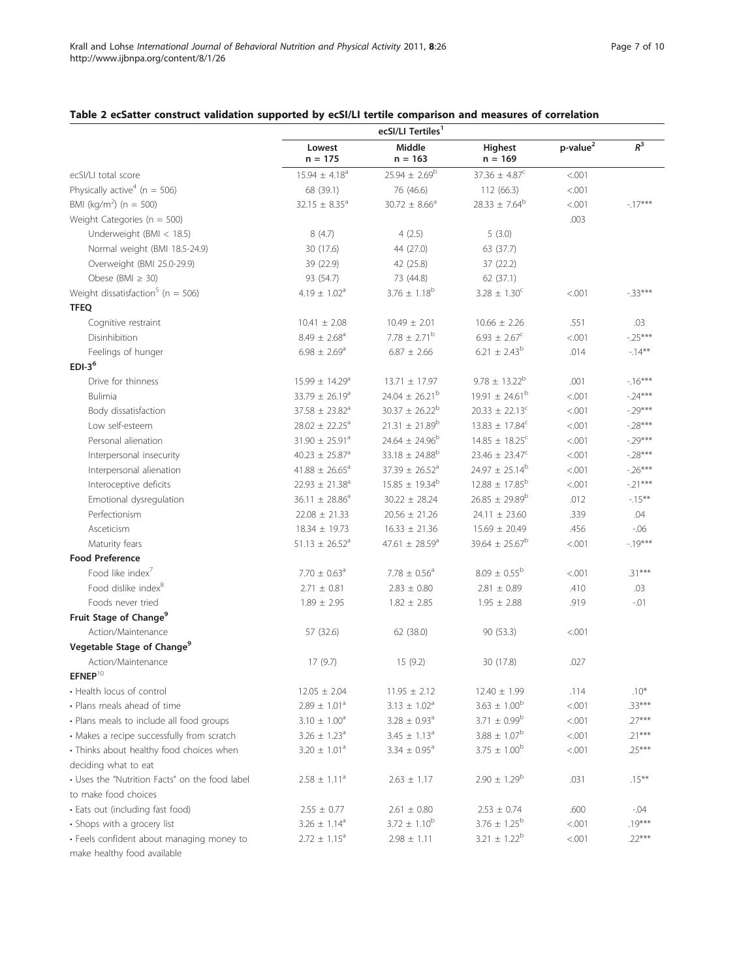# <span id="page-6-0"></span>Table 2 ecSatter construct validation supported by ecSI/LI tertile comparison and measures of correlation

|                                                | Lowest<br>$n = 175$            | Middle<br>$n = 163$            | Highest<br>$n = 169$           | p-value <sup>2</sup> | $R^3$     |
|------------------------------------------------|--------------------------------|--------------------------------|--------------------------------|----------------------|-----------|
| ecSI/LI total score                            | $15.94 \pm 4.18^a$             | $25.94 \pm 2.69^b$             | $37.36 \pm 4.87^c$             | < .001               |           |
| Physically active <sup>4</sup> ( $n = 506$ )   | 68 (39.1)                      | 76 (46.6)                      | 112 (66.3)                     | < .001               |           |
| BMI (kg/m <sup>2</sup> ) (n = 500)             | $32.15 \pm 8.35^a$             | $30.72 \pm 8.66^{\circ}$       | $28.33 \pm 7.64^b$             | < .001               | $-17***$  |
| Weight Categories ( $n = 500$ )                |                                |                                |                                | .003                 |           |
| Underweight (BMI < 18.5)                       | 8(4.7)                         | 4(2.5)                         | 5(3.0)                         |                      |           |
| Normal weight (BMI 18.5-24.9)                  | 30 (17.6)                      | 44 (27.0)                      | 63 (37.7)                      |                      |           |
| Overweight (BMI 25.0-29.9)                     | 39 (22.9)                      | 42 (25.8)                      | 37(22.2)                       |                      |           |
| Obese (BMI $\geq$ 30)                          | 93 (54.7)                      | 73 (44.8)                      | 62 (37.1)                      |                      |           |
| Weight dissatisfaction <sup>5</sup> (n = 506)  | 4.19 $\pm$ 1.02 <sup>a</sup>   | $3.76 \pm 1.18^b$              | $3.28 \pm 1.30^c$              | < .001               | $-33***$  |
| <b>TFEQ</b>                                    |                                |                                |                                |                      |           |
| Cognitive restraint                            | $10.41 \pm 2.08$               | $10.49 \pm 2.01$               | $10.66 \pm 2.26$               | .551                 | .03       |
| Disinhibition                                  | $8.49 \pm 2.68$ <sup>a</sup>   | $7.78 \pm 2.71^{\rm b}$        | $6.93 \pm 2.67^c$              | < .001               | $-25***$  |
| Feelings of hunger                             | $6.98 \pm 2.69^{\circ}$        | $6.87 \pm 2.66$                | $6.21 \pm 2.43^b$              | .014                 | $-14***$  |
| $EDI-36$                                       |                                |                                |                                |                      |           |
| Drive for thinness                             | 15.99 ± 14.29 <sup>a</sup>     | $13.71 \pm 17.97$              | $9.78 \pm 13.22^b$             | .001                 | $-16***$  |
| <b>Bulimia</b>                                 | 33.79 $\pm$ 26.19 <sup>a</sup> | $24.04 \pm 26.21^{\rm b}$      | $19.91 \pm 24.61^{\rm b}$      | < .001               | $-24***$  |
| Body dissatisfaction                           | $37.58 \pm 23.82$ <sup>a</sup> | $30.37 \pm 26.22^b$            | $20.33 \pm 22.13^c$            | < .001               | $-.29***$ |
| Low self-esteem                                | $28.02 \pm 22.25^a$            | $21.31 \pm 21.89^b$            | $13.83 \pm 17.84^c$            | < .001               | $-.28***$ |
| Personal alienation                            | $31.90 \pm 25.91^a$            | $24.64 \pm 24.96^b$            | $14.85 \pm 18.25^{\circ}$      | < .001               | $-.29***$ |
| Interpersonal insecurity                       | $40.23 \pm 25.87$ <sup>a</sup> | $33.18 \pm 24.88^b$            | $23.46 \pm 23.47^c$            | < .001               | $-.28***$ |
| Interpersonal alienation                       | $41.88 \pm 26.65^{\circ}$      | 37.39 $\pm$ 26.52 <sup>a</sup> | $24.97 \pm 25.14^b$            | < .001               | $-.26***$ |
| Interoceptive deficits                         | $22.93 \pm 21.38^a$            | $15.85 \pm 19.34^b$            | $12.88 \pm 17.85^{\rm b}$      | < .001               | $-.21***$ |
| Emotional dysregulation                        | 36.11 $\pm$ 28.86 <sup>a</sup> | $30.22 \pm 28.24$              | $26.85 \pm 29.89^b$            | .012                 | $-15***$  |
| Perfectionism                                  | $22.08 \pm 21.33$              | $20.56 \pm 21.26$              | $24.11 \pm 23.60$              | .339                 | .04       |
| Asceticism                                     | $18.34 \pm 19.73$              | $16.33 \pm 21.36$              | $15.69 \pm 20.49$              | .456                 | $-06$     |
| Maturity fears                                 | $51.13 \pm 26.52$ <sup>a</sup> | 47.61 $\pm$ 28.59 <sup>a</sup> | 39.64 $\pm$ 25.67 <sup>b</sup> | < .001               | $-19***$  |
| <b>Food Preference</b>                         |                                |                                |                                |                      |           |
| Food like index'                               | $7.70 \pm 0.63$ <sup>a</sup>   | $7.78 \pm 0.56^a$              | $8.09 \pm 0.55^{\rm b}$        | < .001               | $.31***$  |
| Food dislike index <sup>8</sup>                | $2.71 \pm 0.81$                | $2.83 \pm 0.80$                | $2.81 \pm 0.89$                | .410                 | .03       |
| Foods never tried                              | $1.89 \pm 2.95$                | $1.82 \pm 2.85$                | $1.95 \pm 2.88$                | .919                 | $-.01$    |
| Fruit Stage of Change <sup>9</sup>             |                                |                                |                                |                      |           |
| Action/Maintenance                             | 57 (32.6)                      | 62 (38.0)                      | 90 (53.3)                      | < .001               |           |
| Vegetable Stage of Change <sup>9</sup>         |                                |                                |                                |                      |           |
| Action/Maintenance                             | 17(9.7)                        | 15(9.2)                        | 30 (17.8)                      | .027                 |           |
| $\text{EFNEP}^{10}$                            |                                |                                |                                |                      |           |
| • Health locus of control                      | $12.05 \pm 2.04$               | $11.95 \pm 2.12$               | $12.40 \pm 1.99$               | .114                 | $.10*$    |
| • Plans meals ahead of time                    | $2.89 \pm 1.01^a$              | $3.13 \pm 1.02^a$              | $3.63 \pm 1.00^b$              | < .001               | $.33***$  |
| · Plans meals to include all food groups       | $3.10 \pm 1.00^a$              | $3.28 \pm 0.93$ <sup>a</sup>   | $3.71 \pm 0.99^b$              | < .001               | $.27***$  |
| • Makes a recipe successfully from scratch     | $3.26 \pm 1.23^a$              | $3.45 \pm 1.13^a$              | $3.88 \pm 1.07^b$              | < .001               | $.21***$  |
| · Thinks about healthy food choices when       | $3.20 \pm 1.01^a$              | $3.34 \pm 0.95^a$              | $3.75 \pm 1.00^b$              | < .001               | $.25***$  |
| deciding what to eat                           |                                |                                |                                |                      |           |
| • Uses the "Nutrition Facts" on the food label | $2.58 \pm 1.11^a$              | $2.63 \pm 1.17$                | $2.90 \pm 1.29^b$              | .031                 | $.15***$  |
| to make food choices                           |                                |                                |                                |                      |           |
| · Eats out (including fast food)               | $2.55 \pm 0.77$                | $2.61 \pm 0.80$                | $2.53 \pm 0.74$                | .600                 | $-0.04$   |
| • Shops with a grocery list                    | $3.26 \pm 1.14^a$              | $3.72 \pm 1.10^b$              | $3.76 \pm 1.25^{\rm b}$        | < .001               | $.19***$  |
| · Feels confident about managing money to      | $2.72 \pm 1.15^a$              | $2.98 \pm 1.11$                | $3.21 \pm 1.22^b$              | < .001               | $.22***$  |
| make healthy food available                    |                                |                                |                                |                      |           |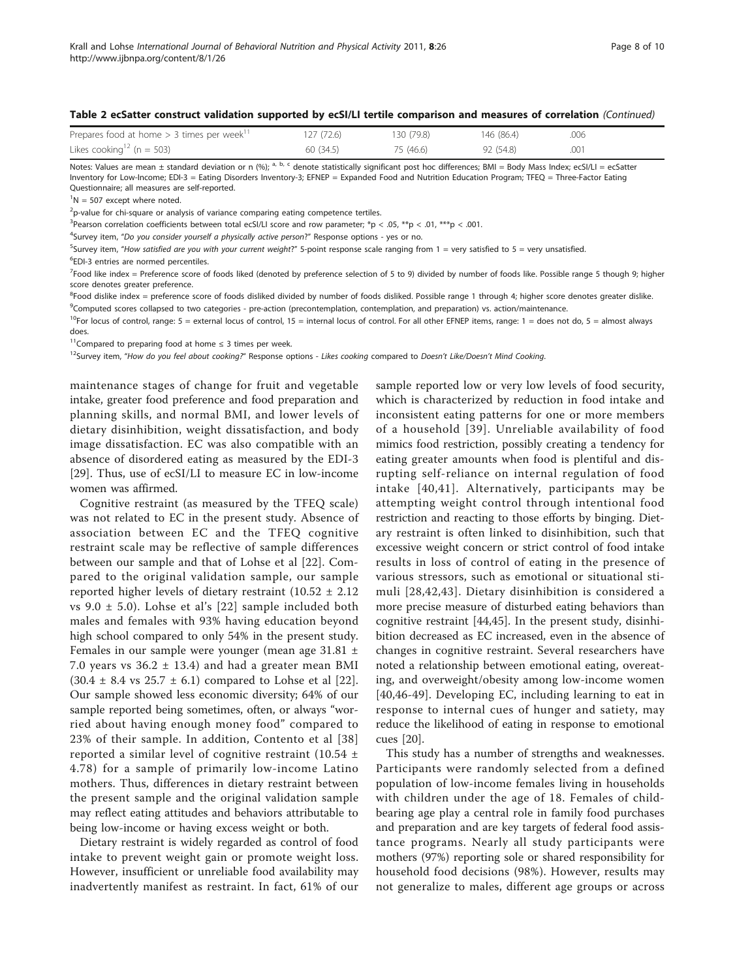#### Table 2 ecSatter construct validation supported by ecSI/LI tertile comparison and measures of correlation (Continued)

| Prepares food at home $>$ 3 times per week <sup>11</sup> | 127(72.6) | 130 (79.8) | 146 (86.4) | .006 |
|----------------------------------------------------------|-----------|------------|------------|------|
| Likes cooking <sup>12</sup> (n = 503)                    | 60(34.5)  | 75 (46.6)  | 92 (54.8)  | .001 |

Notes: Values are mean  $\pm$  standard deviation or n (%); <sup>a, b, c</sup> denote statistically significant post hoc differences; BMI = Body Mass Index; ecSI/LI = ecSatter Inventory for Low-Income; EDI-3 = Eating Disorders Inventory-3; EFNEP = Expanded Food and Nutrition Education Program; TFEQ = Three-Factor Eating Questionnaire; all measures are self-reported.

 ${}^{1}N = 507$  except where noted.

 $^{2}$ p-value for chi-square or analysis of variance comparing eating competence tertiles.

<sup>3</sup> Pearson correlation coefficients between total ecSI/LI score and row parameter;  $*_p < .05$ ,  $_{*p} < .01$ ,  $_{*p} < .001$ .

<sup>4</sup>Survey item, "Do you consider yourself a physically active person?" Response options - yes or no.

<sup>5</sup>Survey item, "How satisfied are you with your current weight?" 5-point response scale ranging from 1 = very satisfied to 5 = very unsatisfied.

6 EDI-3 entries are normed percentiles.

<sup>7</sup>Food like index = Preference score of foods liked (denoted by preference selection of 5 to 9) divided by number of foods like. Possible range 5 though 9; higher score denotes greater preference.

<sup>8</sup>Food dislike index = preference score of foods disliked divided by number of foods disliked. Possible range 1 through 4; higher score denotes greater dislike. <sup>9</sup>Computed scores collapsed to two categories - pre-action (precontemplation, contemplation, and preparation) vs. action/maintenance.

<sup>10</sup>For locus of control, range: 5 = external locus of control, 15 = internal locus of control. For all other EFNEP items, range: 1 = does not do, 5 = almost always does

<sup>11</sup>Compared to preparing food at home  $\leq$  3 times per week.

<sup>12</sup>Survey item, "How do you feel about cooking?" Response options - Likes cooking compared to Doesn't Like/Doesn't Mind Cooking.

maintenance stages of change for fruit and vegetable intake, greater food preference and food preparation and planning skills, and normal BMI, and lower levels of dietary disinhibition, weight dissatisfaction, and body image dissatisfaction. EC was also compatible with an absence of disordered eating as measured by the EDI-3 [[29\]](#page-9-0). Thus, use of ecSI/LI to measure EC in low-income women was affirmed.

Cognitive restraint (as measured by the TFEQ scale) was not related to EC in the present study. Absence of association between EC and the TFEQ cognitive restraint scale may be reflective of sample differences between our sample and that of Lohse et al [[22\]](#page-9-0). Compared to the original validation sample, our sample reported higher levels of dietary restraint  $(10.52 \pm 2.12)$ vs 9.0 ± 5.0). Lohse et al's [[22](#page-9-0)] sample included both males and females with 93% having education beyond high school compared to only 54% in the present study. Females in our sample were younger (mean age 31.81 ± 7.0 years vs  $36.2 \pm 13.4$ ) and had a greater mean BMI  $(30.4 \pm 8.4 \text{ vs } 25.7 \pm 6.1)$  compared to Lohse et al [[22](#page-9-0)]. Our sample showed less economic diversity; 64% of our sample reported being sometimes, often, or always "worried about having enough money food" compared to 23% of their sample. In addition, Contento et al [[38](#page-9-0)] reported a similar level of cognitive restraint (10.54 ± 4.78) for a sample of primarily low-income Latino mothers. Thus, differences in dietary restraint between the present sample and the original validation sample may reflect eating attitudes and behaviors attributable to being low-income or having excess weight or both.

Dietary restraint is widely regarded as control of food intake to prevent weight gain or promote weight loss. However, insufficient or unreliable food availability may inadvertently manifest as restraint. In fact, 61% of our

sample reported low or very low levels of food security, which is characterized by reduction in food intake and inconsistent eating patterns for one or more members of a household [[39\]](#page-9-0). Unreliable availability of food mimics food restriction, possibly creating a tendency for eating greater amounts when food is plentiful and disrupting self-reliance on internal regulation of food intake [[40,41\]](#page-9-0). Alternatively, participants may be attempting weight control through intentional food restriction and reacting to those efforts by binging. Dietary restraint is often linked to disinhibition, such that excessive weight concern or strict control of food intake results in loss of control of eating in the presence of various stressors, such as emotional or situational stimuli [[28](#page-9-0),[42](#page-9-0),[43](#page-9-0)]. Dietary disinhibition is considered a more precise measure of disturbed eating behaviors than cognitive restraint [[44](#page-9-0),[45\]](#page-9-0). In the present study, disinhibition decreased as EC increased, even in the absence of changes in cognitive restraint. Several researchers have noted a relationship between emotional eating, overeating, and overweight/obesity among low-income women [[40,46-49](#page-9-0)]. Developing EC, including learning to eat in response to internal cues of hunger and satiety, may reduce the likelihood of eating in response to emotional cues [[20\]](#page-9-0).

This study has a number of strengths and weaknesses. Participants were randomly selected from a defined population of low-income females living in households with children under the age of 18. Females of childbearing age play a central role in family food purchases and preparation and are key targets of federal food assistance programs. Nearly all study participants were mothers (97%) reporting sole or shared responsibility for household food decisions (98%). However, results may not generalize to males, different age groups or across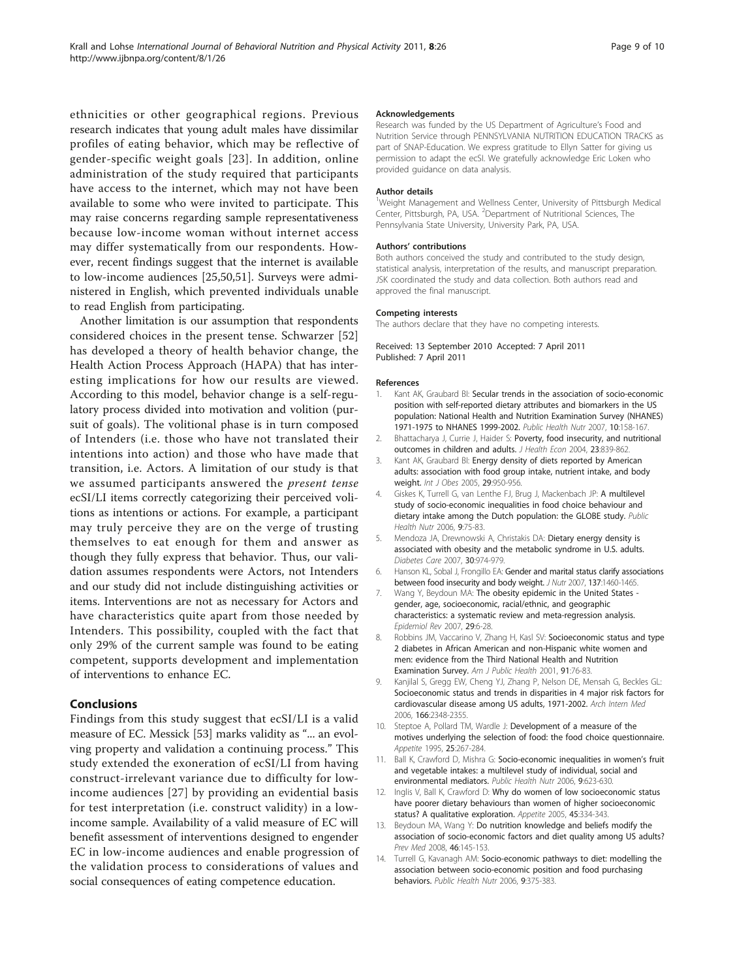<span id="page-8-0"></span>ethnicities or other geographical regions. Previous research indicates that young adult males have dissimilar profiles of eating behavior, which may be reflective of gender-specific weight goals [[23\]](#page-9-0). In addition, online administration of the study required that participants have access to the internet, which may not have been available to some who were invited to participate. This may raise concerns regarding sample representativeness because low-income woman without internet access may differ systematically from our respondents. However, recent findings suggest that the internet is available to low-income audiences [[25](#page-9-0),[50,51\]](#page-9-0). Surveys were administered in English, which prevented individuals unable to read English from participating.

Another limitation is our assumption that respondents considered choices in the present tense. Schwarzer [\[52](#page-9-0)] has developed a theory of health behavior change, the Health Action Process Approach (HAPA) that has interesting implications for how our results are viewed. According to this model, behavior change is a self-regulatory process divided into motivation and volition (pursuit of goals). The volitional phase is in turn composed of Intenders (i.e. those who have not translated their intentions into action) and those who have made that transition, i.e. Actors. A limitation of our study is that we assumed participants answered the *present tense* ecSI/LI items correctly categorizing their perceived volitions as intentions or actions. For example, a participant may truly perceive they are on the verge of trusting themselves to eat enough for them and answer as though they fully express that behavior. Thus, our validation assumes respondents were Actors, not Intenders and our study did not include distinguishing activities or items. Interventions are not as necessary for Actors and have characteristics quite apart from those needed by Intenders. This possibility, coupled with the fact that only 29% of the current sample was found to be eating competent, supports development and implementation of interventions to enhance EC.

#### Conclusions

Findings from this study suggest that ecSI/LI is a valid measure of EC. Messick [[53](#page-9-0)] marks validity as "... an evolving property and validation a continuing process." This study extended the exoneration of ecSI/LI from having construct-irrelevant variance due to difficulty for lowincome audiences [[27](#page-9-0)] by providing an evidential basis for test interpretation (i.e. construct validity) in a lowincome sample. Availability of a valid measure of EC will benefit assessment of interventions designed to engender EC in low-income audiences and enable progression of the validation process to considerations of values and social consequences of eating competence education.

#### Acknowledgements

Research was funded by the US Department of Agriculture's Food and Nutrition Service through PENNSYLVANIA NUTRITION EDUCATION TRACKS as part of SNAP-Education. We express gratitude to Ellyn Satter for giving us permission to adapt the ecSI. We gratefully acknowledge Eric Loken who provided guidance on data analysis.

#### Author details

<sup>1</sup>Weight Management and Wellness Center, University of Pittsburgh Medical Center, Pittsburgh, PA, USA. <sup>2</sup> Department of Nutritional Sciences, The Pennsylvania State University, University Park, PA, USA.

#### Authors' contributions

Both authors conceived the study and contributed to the study design, statistical analysis, interpretation of the results, and manuscript preparation. JSK coordinated the study and data collection. Both authors read and approved the final manuscript.

#### Competing interests

The authors declare that they have no competing interests.

#### Received: 13 September 2010 Accepted: 7 April 2011 Published: 7 April 2011

#### References

- 1. Kant AK, Graubard BI: [Secular trends in the association of socio-economic](http://www.ncbi.nlm.nih.gov/pubmed/17261225?dopt=Abstract) [position with self-reported dietary attributes and biomarkers in the US](http://www.ncbi.nlm.nih.gov/pubmed/17261225?dopt=Abstract) [population: National Health and Nutrition Examination Survey \(NHANES\)](http://www.ncbi.nlm.nih.gov/pubmed/17261225?dopt=Abstract) [1971-1975 to NHANES 1999-2002.](http://www.ncbi.nlm.nih.gov/pubmed/17261225?dopt=Abstract) Public Health Nutr 2007, 10:158-167.
- 2. Bhattacharya J, Currie J, Haider S: [Poverty, food insecurity, and nutritional](http://www.ncbi.nlm.nih.gov/pubmed/15587700?dopt=Abstract) [outcomes in children and adults.](http://www.ncbi.nlm.nih.gov/pubmed/15587700?dopt=Abstract) J Health Econ 2004, 23:839-862.
- 3. Kant AK, Graubard BI: Energy density of diets reported by American adults: association with food group intake, nutrient intake, and body weight. Int J Obes 2005, 29:950-956.
- Giskes K, Turrell G, van Lenthe FJ, Brug J, Mackenbach JP: [A multilevel](http://www.ncbi.nlm.nih.gov/pubmed/16480537?dopt=Abstract) [study of socio-economic inequalities in food choice behaviour and](http://www.ncbi.nlm.nih.gov/pubmed/16480537?dopt=Abstract) [dietary intake among the Dutch population: the GLOBE study.](http://www.ncbi.nlm.nih.gov/pubmed/16480537?dopt=Abstract) Public Health Nutr 2006, 9:75-83.
- 5. Mendoza JA, Drewnowski A, Christakis DA: [Dietary energy density is](http://www.ncbi.nlm.nih.gov/pubmed/17229942?dopt=Abstract) [associated with obesity and the metabolic syndrome in U.S. adults.](http://www.ncbi.nlm.nih.gov/pubmed/17229942?dopt=Abstract) Diabetes Care 2007, 30:974-979.
- 6. Hanson KL, Sobal J, Frongillo EA: [Gender and marital status clarify associations](http://www.ncbi.nlm.nih.gov/pubmed/17513407?dopt=Abstract) [between food insecurity and body weight.](http://www.ncbi.nlm.nih.gov/pubmed/17513407?dopt=Abstract) J Nutr 2007, 137:1460-1465.
- 7. Wang Y, Beydoun MA: [The obesity epidemic in the United States](http://www.ncbi.nlm.nih.gov/pubmed/17510091?dopt=Abstract)  [gender, age, socioeconomic, racial/ethnic, and geographic](http://www.ncbi.nlm.nih.gov/pubmed/17510091?dopt=Abstract) [characteristics: a systematic review and meta-regression analysis.](http://www.ncbi.nlm.nih.gov/pubmed/17510091?dopt=Abstract) Epidemiol Rev 2007, 29:6-28.
- 8. Robbins JM, Vaccarino V, Zhang H, Kasl SV: [Socioeconomic status and type](http://www.ncbi.nlm.nih.gov/pubmed/11189829?dopt=Abstract) [2 diabetes in African American and non-Hispanic white women and](http://www.ncbi.nlm.nih.gov/pubmed/11189829?dopt=Abstract) [men: evidence from the Third National Health and Nutrition](http://www.ncbi.nlm.nih.gov/pubmed/11189829?dopt=Abstract) [Examination Survey.](http://www.ncbi.nlm.nih.gov/pubmed/11189829?dopt=Abstract) Am J Public Health 2001, 91:76-83.
- 9. Kanjilal S, Gregg EW, Cheng YJ, Zhang P, Nelson DE, Mensah G, Beckles GL: [Socioeconomic status and trends in disparities in 4 major risk factors for](http://www.ncbi.nlm.nih.gov/pubmed/17130388?dopt=Abstract) [cardiovascular disease among US adults, 1971-2002.](http://www.ncbi.nlm.nih.gov/pubmed/17130388?dopt=Abstract) Arch Intern Med 2006, 166:2348-2355.
- 10. Steptoe A, Pollard TM, Wardle J: [Development of a measure of the](http://www.ncbi.nlm.nih.gov/pubmed/8746966?dopt=Abstract) [motives underlying the selection of food: the food choice questionnaire.](http://www.ncbi.nlm.nih.gov/pubmed/8746966?dopt=Abstract) Appetite 1995, 25:267-284
- 11. Ball K, Crawford D, Mishra G: [Socio-economic inequalities in women](http://www.ncbi.nlm.nih.gov/pubmed/16923294?dopt=Abstract)'s fruit [and vegetable intakes: a multilevel study of individual, social and](http://www.ncbi.nlm.nih.gov/pubmed/16923294?dopt=Abstract) [environmental mediators.](http://www.ncbi.nlm.nih.gov/pubmed/16923294?dopt=Abstract) Public Health Nutr 2006, 9:623-630.
- 12. Inglis V, Ball K, Crawford D: [Why do women of low socioeconomic status](http://www.ncbi.nlm.nih.gov/pubmed/16171900?dopt=Abstract) [have poorer dietary behaviours than women of higher socioeconomic](http://www.ncbi.nlm.nih.gov/pubmed/16171900?dopt=Abstract) [status? A qualitative exploration.](http://www.ncbi.nlm.nih.gov/pubmed/16171900?dopt=Abstract) Appetite 2005, 45:334-343.
- 13. Beydoun MA, Wang Y: [Do nutrition knowledge and beliefs modify the](http://www.ncbi.nlm.nih.gov/pubmed/17698186?dopt=Abstract) [association of socio-economic factors and diet quality among US adults?](http://www.ncbi.nlm.nih.gov/pubmed/17698186?dopt=Abstract) Prev Med 2008, 46:145-153.
- 14. Turrell G, Kavanagh AM: [Socio-economic pathways to diet: modelling the](http://www.ncbi.nlm.nih.gov/pubmed/16684390?dopt=Abstract) [association between socio-economic position and food purchasing](http://www.ncbi.nlm.nih.gov/pubmed/16684390?dopt=Abstract) [behaviors.](http://www.ncbi.nlm.nih.gov/pubmed/16684390?dopt=Abstract) Public Health Nutr 2006, 9:375-383.